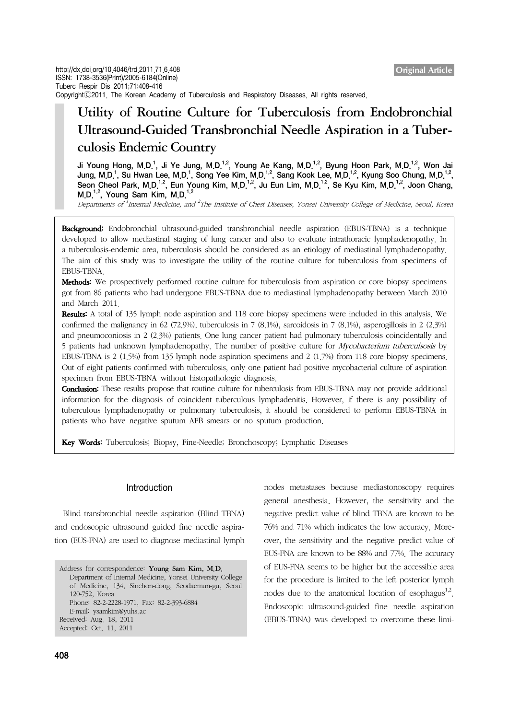# Utility of Routine Culture for Tuberculosis from Endobronchial Ultrasound-Guided Transbronchial Needle Aspiration in a Tuberculosis Endemic Country

Ji Young Hong, M.D.<sup>1</sup>, Ji Ye Jung, M.D.<sup>1,2</sup>, Young Ae Kang, M.D.<sup>1,2</sup>, Byung Hoon Park, M.D.<sup>1,2</sup>, Won Jai Jung, M.D.<sup>1</sup>, Su Hwan Lee, M.D.<sup>1</sup>, Song Yee Kim, M.D.<sup>1,2</sup>, Sang Kook Lee, M.D.<sup>1,2</sup>, Kyung Soo Chung, M.D.<sup>1,2</sup>, Seon Cheol Park, M.D.<sup>1,2</sup>, Eun Young Kim, M.D.<sup>1,2</sup>, Ju Eun Lim, M.D.<sup>1,2</sup>, Se Kyu Kim, M.D.<sup>1,2</sup>, Joon Chang, M.D.<sup>1,2</sup>, Young Sam Kim, M.D.<sup>1,2</sup>

Departments of <sup>1</sup>Internal Medicine, and <sup>2</sup>The Institute of Chest Diseases, Yonsei University College of Medicine, Seoul, Korea

Background: Endobronchial ultrasound-guided transbronchial needle aspiration (EBUS-TBNA) is a technique developed to allow mediastinal staging of lung cancer and also to evaluate intrathoracic lymphadenopathy. In a tuberculosis-endemic area, tuberculosis should be considered as an etiology of mediastinal lymphadenopathy. The aim of this study was to investigate the utility of the routine culture for tuberculosis from specimens of EBUS-TBNA.

Methods: We prospectively performed routine culture for tuberculosis from aspiration or core biopsy specimens got from 86 patients who had undergone EBUS-TBNA due to mediastinal lymphadenopathy between March 2010 and March 2011.

Results: A total of 135 lymph node aspiration and 118 core biopsy specimens were included in this analysis. We confirmed the malignancy in 62 (72.9%), tuberculosis in 7 (8.1%), sarcoidosis in 7 (8.1%), asperogillosis in 2 (2.3%) and pneumoconiosis in 2 (2.3%) patients. One lung cancer patient had pulmonary tuberculosis coincidentally and 5 patients had unknown lymphadenopathy. The number of positive culture for Mycobacterium tuberculsosis by EBUS-TBNA is 2 (1.5%) from 135 lymph node aspiration specimens and 2 (1.7%) from 118 core biopsy specimens. Out of eight patients confirmed with tuberculosis, only one patient had positive mycobacterial culture of aspiration specimen from EBUS-TBNA without histopathologic diagnosis.

**Conclusion:** These results propose that routine culture for tuberculosis from EBUS-TBNA may not provide additional information for the diagnosis of coincident tuberculous lymphadenitis. However, if there is any possibility of tuberculous lymphadenopathy or pulmonary tuberculosis, it should be considered to perform EBUS-TBNA in patients who have negative sputum AFB smears or no sputum production.

Key Words: Tuberculosis; Biopsy, Fine-Needle; Bronchoscopy; Lymphatic Diseases

#### Introduction

 Blind transbronchial needle aspiration (Blind TBNA) and endoscopic ultrasound guided fine needle aspiration (EUS-FNA) are used to diagnose mediastinal lymph

Address for correspondence: Young Sam Kim, M.D. Department of Internal Medicine, Yonsei University College of Medicine, 134, Sinchon-dong, Seodaemun-gu, Seoul 120-752, Korea Phone: 82-2-2228-1971, Fax: 82-2-393-6884 E-mail: ysamkim@yuhs.ac Received: Aug. 18, 2011 Accepted: Oct. 11, 2011

nodes metastases because mediastonoscopy requires general anesthesia. However, the sensitivity and the negative predict value of blind TBNA are known to be 76% and 71% which indicates the low accuracy. Moreover, the sensitivity and the negative predict value of EUS-FNA are known to be 88% and 77%. The accuracy of EUS-FNA seems to be higher but the accessible area for the procedure is limited to the left posterior lymph nodes due to the anatomical location of esophagus $^{1,2}$ . Endoscopic ultrasound-guided fine needle aspiration (EBUS-TBNA) was developed to overcome these limi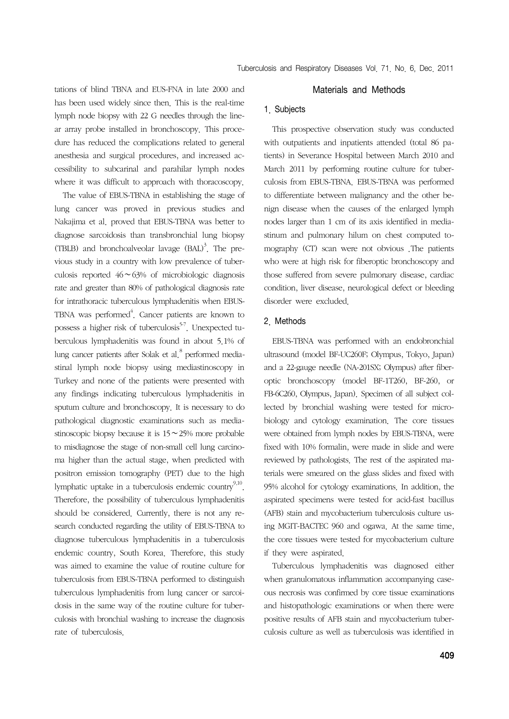tations of blind TBNA and EUS-FNA in late 2000 and has been used widely since then. This is the real-time lymph node biopsy with 22 G needles through the linear array probe installed in bronchoscopy. This procedure has reduced the complications related to general anesthesia and surgical procedures, and increased accessibility to subcarinal and parahilar lymph nodes where it was difficult to approach with thoracoscopy.

 The value of EBUS-TBNA in establishing the stage of lung cancer was proved in previous studies and Nakajima et al. proved that EBUS-TBNA was better to diagnose sarcoidosis than transbronchial lung biopsy (TBLB) and bronchoalveolar lavage  $(BAL)^3$ . The previous study in a country with low prevalence of tuberculosis reported 46∼63% of microbiologic diagnosis rate and greater than 80% of pathological diagnosis rate for intrathoracic tuberculous lymphadenitis when EBUS-TBNA was performed<sup>4</sup>. Cancer patients are known to possess a higher risk of tuberculosis<sup>5-7</sup>. Unexpected tuberculous lymphadenitis was found in about 5.1% of lung cancer patients after Solak et al.<sup>8</sup> performed mediastinal lymph node biopsy using mediastinoscopy in Turkey and none of the patients were presented with any findings indicating tuberculous lymphadenitis in sputum culture and bronchoscopy. It is necessary to do pathological diagnostic examinations such as mediastinoscopic biopsy because it is 15∼25% more probable to misdiagnose the stage of non-small cell lung carcinoma higher than the actual stage, when predicted with positron emission tomography (PET) due to the high lymphatic uptake in a tuberculosis endemic country<sup>9,10</sup>. Therefore, the possibility of tuberculous lymphadenitis should be considered. Currently, there is not any research conducted regarding the utility of EBUS-TBNA to diagnose tuberculous lymphadenitis in a tuberculosis endemic country, South Korea. Therefore, this study was aimed to examine the value of routine culture for tuberculosis from EBUS-TBNA performed to distinguish tuberculous lymphadenitis from lung cancer or sarcoidosis in the same way of the routine culture for tuberculosis with bronchial washing to increase the diagnosis rate of tuberculosis.

## Materials and Methods

## 1. Subjects

 This prospective observation study was conducted with outpatients and inpatients attended (total 86 patients) in Severance Hospital between March 2010 and March 2011 by performing routine culture for tuberculosis from EBUS-TBNA. EBUS-TBNA was performed to differentiate between malignancy and the other benign disease when the causes of the enlarged lymph nodes larger than 1 cm of its axis identified in mediastinum and pulmonary hilum on chest computed tomography (CT) scan were not obvious .The patients who were at high risk for fiberoptic bronchoscopy and those suffered from severe pulmonary disease, cardiac condition, liver disease, neurological defect or bleeding disorder were excluded.

## 2. Methods

 EBUS-TBNA was performed with an endobronchial ultrasound (model BF-UC260F; Olympus, Tokyo, Japan) and a 22-gauge needle (NA-201SX; Olympus) after fiberoptic bronchoscopy (model BF-1T260, BF-260, or FB-6C260, Olympus, Japan). Specimen of all subject collected by bronchial washing were tested for microbiology and cytology examination. The core tissues were obtained from lymph nodes by EBUS-TBNA, were fixed with 10% formalin, were made in slide and were reviewed by pathologists. The rest of the aspirated materials were smeared on the glass slides and fixed with 95% alcohol for cytology examinations. In addition, the aspirated specimens were tested for acid-fast bacillus (AFB) stain and mycobacterium tuberculosis culture using MGIT-BACTEC 960 and ogawa. At the same time, the core tissues were tested for mycobacterium culture if they were aspirated.

 Tuberculous lymphadenitis was diagnosed either when granulomatous inflammation accompanying caseous necrosis was confirmed by core tissue examinations and histopathologic examinations or when there were positive results of AFB stain and mycobacterium tuberculosis culture as well as tuberculosis was identified in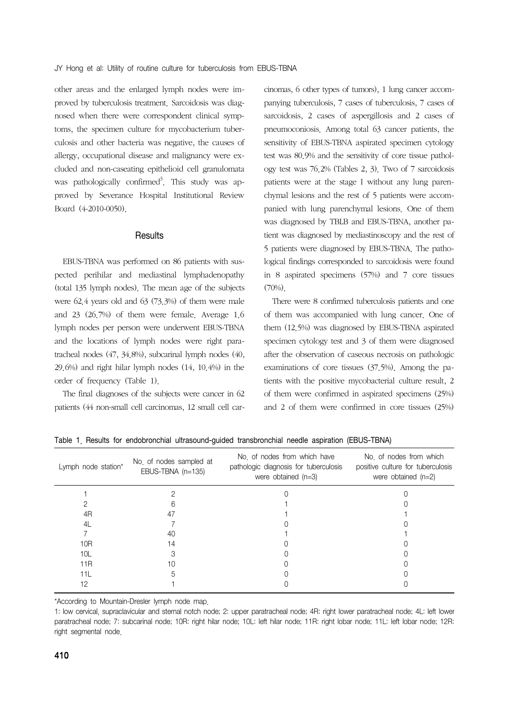other areas and the enlarged lymph nodes were improved by tuberculosis treatment. Sarcoidosis was diagnosed when there were correspondent clinical symptoms, the specimen culture for mycobacterium tuberculosis and other bacteria was negative, the causes of allergy, occupational disease and malignancy were excluded and non-caseating epithelioid cell granulomata was pathologically confirmed<sup>3</sup>. This study was approved by Severance Hospital Institutional Review Board (4-2010-0050).

## **Results**

 EBUS-TBNA was performed on 86 patients with suspected perihilar and mediastinal lymphadenopathy (total 135 lymph nodes). The mean age of the subjects were 62.4 years old and 63 (73.3%) of them were male and 23 (26.7%) of them were female. Average 1.6 lymph nodes per person were underwent EBUS-TBNA and the locations of lymph nodes were right paratracheal nodes (47, 34.8%), subcarinal lymph nodes (40, 29.6%) and right hilar lymph nodes (14, 10.4%) in the order of frequency (Table 1).

 The final diagnoses of the subjects were cancer in 62 patients (44 non-small cell carcinomas, 12 small cell carcinomas, 6 other types of tumors), 1 lung cancer accompanying tuberculosis, 7 cases of tuberculosis, 7 cases of sarcoidosis, 2 cases of aspergillosis and 2 cases of pneumoconiosis. Among total 63 cancer patients, the sensitivity of EBUS-TBNA aspirated specimen cytology test was 80.9% and the sensitivity of core tissue pathology test was 76.2% (Tables 2, 3). Two of 7 sarcoidosis patients were at the stage I without any lung parenchymal lesions and the rest of 5 patients were accompanied with lung parenchymal lesions. One of them was diagnosed by TBLB and EBUS-TBNA, another patient was diagnosed by mediastinoscopy and the rest of 5 patients were diagnosed by EBUS-TBNA. The pathological findings corresponded to sarcoidosis were found in 8 aspirated specimens (57%) and 7 core tissues  $(70\%)$ 

 There were 8 confirmed tuberculosis patients and one of them was accompanied with lung cancer. One of them (12.5%) was diagnosed by EBUS-TBNA aspirated specimen cytology test and 3 of them were diagnosed after the observation of caseous necrosis on pathologic examinations of core tissues (37.5%). Among the patients with the positive mycobacterial culture result, 2 of them were confirmed in aspirated specimens (25%) and 2 of them were confirmed in core tissues (25%)

| Lymph node station* | No. of nodes sampled at<br>EBUS-TBNA (n=135) | No of nodes from which have<br>pathologic diagnosis for tuberculosis<br>were obtained $(n=3)$ | No of nodes from which<br>positive culture for tuberculosis<br>were obtained $(n=2)$ |
|---------------------|----------------------------------------------|-----------------------------------------------------------------------------------------------|--------------------------------------------------------------------------------------|
|                     |                                              |                                                                                               |                                                                                      |
|                     |                                              |                                                                                               |                                                                                      |
| 4R                  | 47                                           |                                                                                               |                                                                                      |
| 4L                  |                                              |                                                                                               |                                                                                      |
|                     | 40                                           |                                                                                               |                                                                                      |
| 10R                 | 14                                           |                                                                                               |                                                                                      |
| 10L                 |                                              |                                                                                               |                                                                                      |
| 11R                 | 10                                           |                                                                                               |                                                                                      |
| 11L                 |                                              |                                                                                               |                                                                                      |
| 12                  |                                              |                                                                                               |                                                                                      |

Table 1. Results for endobronchial ultrasound-guided transbronchial needle aspiration (EBUS-TBNA)

\*According to Mountain-Dresler lymph node map.

1: low cervical, supraclavicular and sternal notch node; 2: upper paratracheal node; 4R: right lower paratracheal node; 4L: left lower paratracheal node; 7: subcarinal node; 10R: right hilar node; 10L: left hilar node; 11R: right lobar node; 11L: left lobar node; 12R: right segmental node.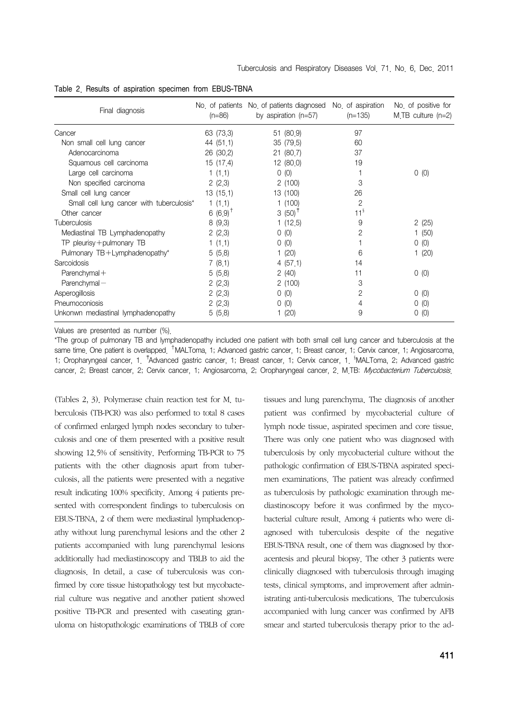| Final diagnosis                           | $(n=86)$               | No of patients No of patients diagnosed No of aspiration<br>by aspiration $(n=57)$ | $(n=135)$       | No of positive for<br>$M.TB$ culture $(n=2)$ |
|-------------------------------------------|------------------------|------------------------------------------------------------------------------------|-----------------|----------------------------------------------|
| Cancer                                    | 63 (73.3)              | 51 (80.9)                                                                          | 97              |                                              |
| Non small cell lung cancer                | 44 (51.1)              | 35 (79.5)                                                                          | 60              |                                              |
| Adenocarcinoma                            | 26 (30.2)              | 21(80,7)                                                                           | 37              |                                              |
| Squamous cell carcinoma                   | 15(17.4)               | 12 (80.0)                                                                          | 19              |                                              |
| Large cell carcinoma                      | 1(1,1)                 | 0(0)                                                                               |                 | 0(0)                                         |
| Non specified carcinoma                   | 2(2,3)                 | 2(100)                                                                             | 3               |                                              |
| Small cell lung cancer                    | 13 (15.1)              | 13 (100)                                                                           | 26              |                                              |
| Small cell lung cancer with tuberculosis* | 1(1,1)                 | 1(100)                                                                             | 2               |                                              |
| Other cancer                              | 6 $(6.9)$ <sup>T</sup> | 3 $(50)^+$                                                                         | 11 <sup>3</sup> |                                              |
| <b>Tuberculosis</b>                       | 8(9,3)                 | 1(12,5)                                                                            | 9               | 2(25)                                        |
| Mediastinal TB Lymphadenopathy            | 2(2,3)                 | 0(0)                                                                               | 2               | 1(50)                                        |
| TP pleurisy + pulmonary TB                | 1(1.1)                 | 0(0)                                                                               |                 | 0(0)                                         |
| Pulmonary TB+Lymphadenopathy*             | 5(5.8)                 | 1(20)                                                                              | 6               | 1(20)                                        |
| Sarcoidosis                               | 7(8,1)                 | 4(57,1)                                                                            | 14              |                                              |
| $Parentymal +$                            | 5(5.8)                 | 2(40)                                                                              | 11              | 0(0)                                         |
| $Parenchymal -$                           | 2(2,3)                 | 2(100)                                                                             | 3               |                                              |
| Asperogillosis                            | 2(2,3)                 | 0(0)                                                                               | 2               | 0(0)                                         |
| Pneumoconiosis                            | 2(2,3)                 | 0(0)                                                                               | 4               | 0(0)                                         |
| Unkonwn mediastinal lymphadenopathy       | 5(5.8)                 | 1(20)                                                                              | 9               | 0(0)                                         |

Table 2. Results of aspiration specimen from EBUS-TBNA

Values are presented as number (%).

\*The group of pulmonary TB and lymphadenopathy included one patient with both small cell lung cancer and tuberculosis at the same time. One patient is overlapped. <sup>†</sup>MALToma, 1; Advanced gastric cancer, 1; Breast cancer, 1; Cervix cancer, 1; Angiosarcoma, 1; Oropharyngeal cancer, 1. <sup>†</sup>Advanced gastric cancer, 1; Breast cancer, 1; Cervix cancer, 1. <sup>§</sup>MALToma, 2; Advanced gastric cancer, 2; Breast cancer, 2; Cervix cancer, 1; Angiosarcoma, 2; Oropharyngeal cancer, 2, M.TB: Mycobacterium Tuberculosis.

(Tables 2, 3). Polymerase chain reaction test for M. tuberculosis (TB-PCR) was also performed to total 8 cases of confirmed enlarged lymph nodes secondary to tuberculosis and one of them presented with a positive result showing 12.5% of sensitivity. Performing TB-PCR to 75 patients with the other diagnosis apart from tuberculosis, all the patients were presented with a negative result indicating 100% specificity. Among 4 patients presented with correspondent findings to tuberculosis on EBUS-TBNA, 2 of them were mediastinal lymphadenopathy without lung parenchymal lesions and the other 2 patients accompanied with lung parenchymal lesions additionally had mediastinoscopy and TBLB to aid the diagnosis. In detail, a case of tuberculosis was confirmed by core tissue histopathology test but mycobacterial culture was negative and another patient showed positive TB-PCR and presented with caseating granuloma on histopathologic examinations of TBLB of core tissues and lung parenchyma. The diagnosis of another patient was confirmed by mycobacterial culture of lymph node tissue, aspirated specimen and core tissue. There was only one patient who was diagnosed with tuberculosis by only mycobacterial culture without the pathologic confirmation of EBUS-TBNA aspirated specimen examinations. The patient was already confirmed as tuberculosis by pathologic examination through mediastinoscopy before it was confirmed by the mycobacterial culture result. Among 4 patients who were diagnosed with tuberculosis despite of the negative EBUS-TBNA result, one of them was diagnosed by thoracentesis and pleural biopsy. The other 3 patients were clinically diagnosed with tuberculosis through imaging tests, clinical symptoms, and improvement after administrating anti-tuberculosis medications. The tuberculosis accompanied with lung cancer was confirmed by AFB smear and started tuberculosis therapy prior to the ad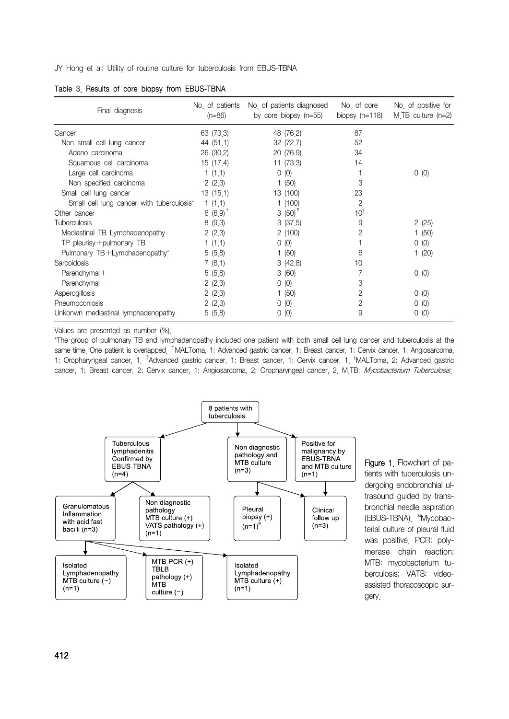JY Hong et al: Utility of routine culture for tuberculosis from EBUS-TBNA

| Final diagnosis                           | No of patients<br>$(n=86)$ | No of patients diagnosed<br>by core biopsy $(n=55)$ | No of core<br>biopsy $(n=118)$ | No of positive for<br>$M.TB$ culture (n=2) |
|-------------------------------------------|----------------------------|-----------------------------------------------------|--------------------------------|--------------------------------------------|
| Cancer                                    | 63 (73.3)                  | 48 (76.2)                                           | 87                             |                                            |
| Non small cell lung cancer                | 44 (51.1)                  | 32 (72.7)                                           | 52                             |                                            |
| Adeno carcinoma                           | 26 (30.2)                  | 20 (76.9)                                           | 34                             |                                            |
| Squamous cell carcinoma                   | 15(17.4)                   | 11 (73.3)                                           | 14                             |                                            |
| Large cell carcinoma                      | 1(1,1)                     | 0(0)                                                |                                | 0(0)                                       |
| Non specified carcinoma                   | 2(2.3)                     | 1(50)                                               | 3                              |                                            |
| Small cell lung cancer                    | 13(15.1)                   | 13 (100)                                            | 23                             |                                            |
| Small cell lung cancer with tuberculosis* | 1(1.1)                     | 1(100)                                              | $\overline{2}$                 |                                            |
| Other cancer                              | 6 $(6.9)$ <sup>T</sup>     | 3 (50) <sup><math>†</math></sup>                    | 10 <sup>3</sup>                |                                            |
| <b>Tuberculosis</b>                       | 8(9.3)                     | 3(37.5)                                             | 9                              | 2(25)                                      |
| Mediastinal TB Lymphadenopathy            | 2(2.3)                     | 2(100)                                              | 2                              | 1(50)                                      |
| TP pleurisy + pulmonary TB                | 1(1.1)                     | 0(0)                                                |                                | 0(0)                                       |
| Pulmonary TB+Lymphadenopathy*             | 5(5.8)                     | 1 $(50)$                                            | 6                              | (20)                                       |
| Sarcoidosis                               | 7(8,1)                     | 3(42.8)                                             | 10                             |                                            |
| $Parentymal +$                            | 5(5.8)                     | 3(60)                                               |                                | 0(0)                                       |
| $Parenchymal -$                           | 2(2.3)                     | 0(0)                                                | 3                              |                                            |
| Asperogillosis                            | 2(2.3)                     | 1(50)                                               | 2                              | 0(0)                                       |
| Pneumoconiosis                            | 2(2.3)                     | 0(0)                                                | 2                              | 0(0)                                       |
| Unkonwn mediastinal lymphadenopathy       | 5(5.8)                     | 0(0)                                                | 9                              | (0)<br>0                                   |

Table 3. Results of core biopsy from EBUS-TBNA

Values are presented as number (%).

\*The group of pulmonary TB and lymphadenopathy included one patient with both small cell lung cancer and tuberculosis at the same time. One patient is overlapped. <sup>†</sup>MALToma, 1; Advanced gastric cancer, 1; Breast cancer, 1; Cervix cancer, 1; Angiosarcoma, 1; Oropharyngeal cancer, 1. <sup>†</sup>Advanced gastric cancer, 1; Breast cancer, 1; Cervix cancer, 1. <sup>§</sup>MALToma, 2; Advanced gastric cancer, 1; Breast cancer, 2; Cervix cancer, 1; Angiosarcoma, 2; Oropharyngeal cancer, 2, M.TB: Mycobacterium Tuberculosis.



Figure 1. Flowchart of patients with tuberculosis undergoing endobronchial ultrasound guided by transbronchial needle aspiration (EBUS-TBNA) <sup>a</sup>Mycobacterial culture of pleural fluid was positive. PCR: polymerase chain reaction; MTB: mycobacterium tuberculosis; VATS: videoassisted thoracoscopic surgery.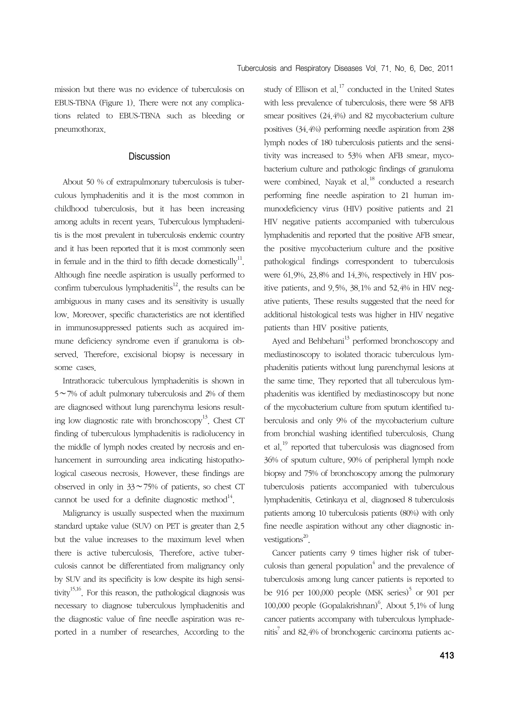mission but there was no evidence of tuberculosis on EBUS-TBNA (Figure 1). There were not any complications related to EBUS-TBNA such as bleeding or pneumothorax.

## **Discussion**

 About 50 % of extrapulmonary tuberculosis is tuberculous lymphadenitis and it is the most common in childhood tuberculosis, but it has been increasing among adults in recent years. Tuberculous lymphadenitis is the most prevalent in tuberculosis endemic country and it has been reported that it is most commonly seen in female and in the third to fifth decade domestically<sup>11</sup>. Although fine needle aspiration is usually performed to confirm tuberculous lymphadenitis<sup>12</sup>, the results can be ambiguous in many cases and its sensitivity is usually low. Moreover, specific characteristics are not identified in immunosuppressed patients such as acquired immune deficiency syndrome even if granuloma is observed. Therefore, excisional biopsy is necessary in some cases.

 Intrathoracic tuberculous lymphadenitis is shown in 5∼7% of adult pulmonary tuberculosis and 2% of them are diagnosed without lung parenchyma lesions resulting low diagnostic rate with bronchoscopy<sup>13</sup>. Chest CT finding of tuberculous lymphadenitis is radiolucency in the middle of lymph nodes created by necrosis and enhancement in surrounding area indicating histopathological caseous necrosis. However, these findings are observed in only in 33∼75% of patients, so chest CT cannot be used for a definite diagnostic method $^{14}$ .

 Malignancy is usually suspected when the maximum standard uptake value (SUV) on PET is greater than 2.5 but the value increases to the maximum level when there is active tuberculosis. Therefore, active tuberculosis cannot be differentiated from malignancy only by SUV and its specificity is low despite its high sensitivity<sup>15,16</sup>. For this reason, the pathological diagnosis was necessary to diagnose tuberculous lymphadenitis and the diagnostic value of fine needle aspiration was reported in a number of researches. According to the study of Ellison et al.<sup>17</sup> conducted in the United States with less prevalence of tuberculosis, there were 58 AFB smear positives (24.4%) and 82 mycobacterium culture positives (34.4%) performing needle aspiration from 238 lymph nodes of 180 tuberculosis patients and the sensitivity was increased to 53% when AFB smear, mycobacterium culture and pathologic findings of granuloma were combined. Nayak et al.<sup>18</sup> conducted a research performing fine needle aspiration to 21 human immunodeficiency virus (HIV) positive patients and 21 HIV negative patients accompanied with tuberculous lymphadenitis and reported that the positive AFB smear, the positive mycobacterium culture and the positive pathological findings correspondent to tuberculosis were 61.9%, 23.8% and 14.3%, respectively in HIV positive patients, and 9.5%, 38.1% and 52.4% in HIV negative patients. These results suggested that the need for additional histological tests was higher in HIV negative patients than HIV positive patients.

Ayed and Behbehani<sup>13</sup> performed bronchoscopy and mediastinoscopy to isolated thoracic tuberculous lymphadenitis patients without lung parenchymal lesions at the same time. They reported that all tuberculous lymphadenitis was identified by mediastinoscopy but none of the mycobacterium culture from sputum identified tuberculosis and only 9% of the mycobacterium culture from bronchial washing identified tuberculosis. Chang et al.19 reported that tuberculosis was diagnosed from 36% of sputum culture, 90% of peripheral lymph node biopsy and 75% of bronchoscopy among the pulmonary tuberculosis patients accompanied with tuberculous lymphadenitis. Cetinkaya et al. diagnosed 8 tuberculosis patients among 10 tuberculosis patients (80%) with only fine needle aspiration without any other diagnostic investigations $^{20}$ .

 Cancer patients carry 9 times higher risk of tuberculosis than general population $4$  and the prevalence of tuberculosis among lung cancer patients is reported to be 916 per 100,000 people  $(MSK\text{ series})^5$  or 901 per 100,000 people (Gopalakrishnan) $6$ . About 5.1% of lung cancer patients accompany with tuberculous lymphadenitis<sup>7</sup> and 82.4% of bronchogenic carcinoma patients ac-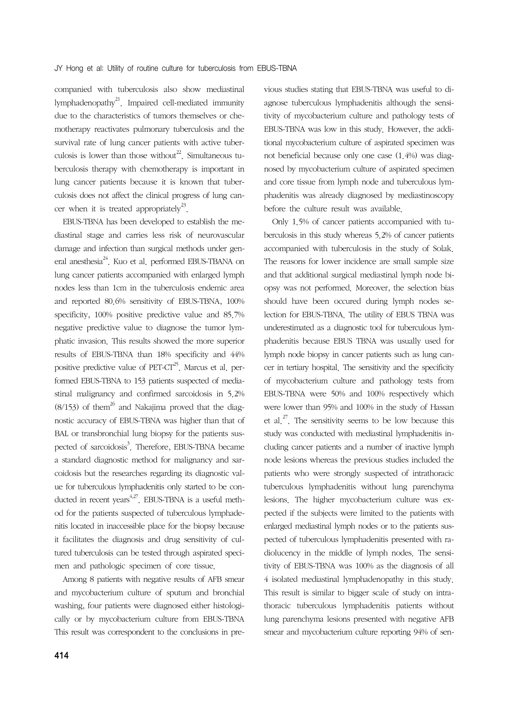companied with tuberculosis also show mediastinal lymphadenopathy<sup>21</sup>. Impaired cell-mediated immunity due to the characteristics of tumors themselves or chemotherapy reactivates pulmonary tuberculosis and the survival rate of lung cancer patients with active tuberculosis is lower than those without<sup>22</sup>. Simultaneous tuberculosis therapy with chemotherapy is important in lung cancer patients because it is known that tuberculosis does not affect the clinical progress of lung cancer when it is treated appropriately<sup>23</sup>.

 EBUS-TBNA has been developed to establish the mediastinal stage and carries less risk of neurovascular damage and infection than surgical methods under general anesthesia<sup>24</sup>. Kuo et al. performed EBUS-TBANA on lung cancer patients accompanied with enlarged lymph nodes less than 1cm in the tuberculosis endemic area and reported 80.6% sensitivity of EBUS-TBNA, 100% specificity, 100% positive predictive value and 85.7% negative predictive value to diagnose the tumor lymphatic invasion. This results showed the more superior results of EBUS-TBNA than 18% specificity and 44% positive predictive value of PET-CT<sup>25</sup>. Marcus et al. performed EBUS-TBNA to 153 patients suspected of mediastinal malignancy and confirmed sarcoidosis in 5.2%  $(8/153)$  of them<sup>26</sup> and Nakajima proved that the diagnostic accuracy of EBUS-TBNA was higher than that of BAL or transbronchial lung biopsy for the patients suspected of sarcoidosis<sup>3</sup>. Therefore, EBUS-TBNA became a standard diagnostic method for malignancy and sarcoidosis but the researches regarding its diagnostic value for tuberculous lymphadenitis only started to be conducted in recent years<sup> $4,27$ </sup>. EBUS-TBNA is a useful method for the patients suspected of tuberculous lymphadenitis located in inaccessible place for the biopsy because it facilitates the diagnosis and drug sensitivity of cultured tuberculosis can be tested through aspirated specimen and pathologic specimen of core tissue.

 Among 8 patients with negative results of AFB smear and mycobacterium culture of sputum and bronchial washing, four patients were diagnosed either histologically or by mycobacterium culture from EBUS-TBNA This result was correspondent to the conclusions in previous studies stating that EBUS-TBNA was useful to diagnose tuberculous lymphadenitis although the sensitivity of mycobacterium culture and pathology tests of EBUS-TBNA was low in this study. However, the additional mycobacterium culture of aspirated specimen was not beneficial because only one case (1.4%) was diagnosed by mycobacterium culture of aspirated specimen and core tissue from lymph node and tuberculous lymphadenitis was already diagnosed by mediastinoscopy before the culture result was available.

 Only 1.5% of cancer patients accompanied with tuberculosis in this study whereas 5.2% of cancer patients accompanied with tuberculosis in the study of Solak. The reasons for lower incidence are small sample size and that additional surgical mediastinal lymph node biopsy was not performed. Moreover, the selection bias should have been occured during lymph nodes selection for EBUS-TBNA. The utility of EBUS TBNA was underestimated as a diagnostic tool for tuberculous lymphadenitis because EBUS TBNA was usually used for lymph node biopsy in cancer patients such as lung cancer in tertiary hospital. The sensitivity and the specificity of mycobacterium culture and pathology tests from EBUS-TBNA were 50% and 100% respectively which were lower than 95% and 100% in the study of Hassan et al.<sup>27</sup>. The sensitivity seems to be low because this study was conducted with mediastinal lymphadenitis including cancer patients and a number of inactive lymph node lesions whereas the previous studies included the patients who were strongly suspected of intrathoracic tuberculous lymphadenitis without lung parenchyma lesions. The higher mycobacterium culture was expected if the subjects were limited to the patients with enlarged mediastinal lymph nodes or to the patients suspected of tuberculous lymphadenitis presented with radiolucency in the middle of lymph nodes. The sensitivity of EBUS-TBNA was 100% as the diagnosis of all 4 isolated mediastinal lymphadenopathy in this study. This result is similar to bigger scale of study on intrathoracic tuberculous lymphadenitis patients without lung parenchyma lesions presented with negative AFB smear and mycobacterium culture reporting 94% of sen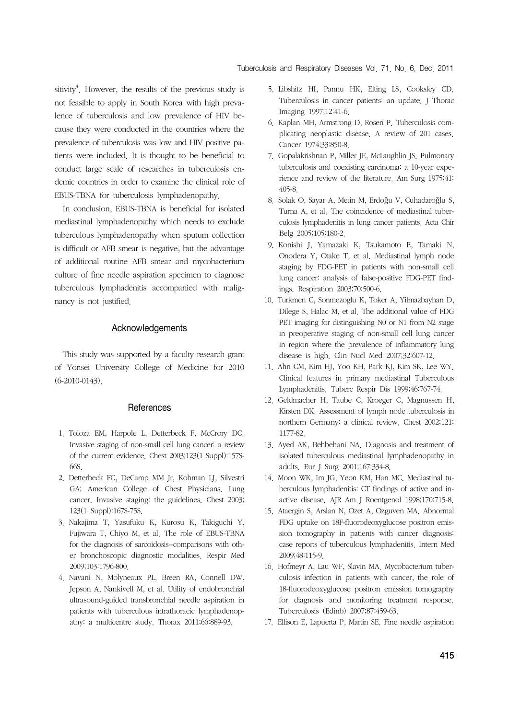sitivity<sup>4</sup>. However, the results of the previous study is not feasible to apply in South Korea with high prevalence of tuberculosis and low prevalence of HIV because they were conducted in the countries where the prevalence of tuberculosis was low and HIV positive patients were included. It is thought to be beneficial to conduct large scale of researches in tuberculosis endemic countries in order to examine the clinical role of EBUS-TBNA for tuberculosis lymphadenopathy.

 In conclusion, EBUS-TBNA is beneficial for isolated mediastinal lymphadenopathy which needs to exclude tuberculous lymphadenopathy when sputum collection is difficult or AFB smear is negative, but the advantage of additional routine AFB smear and mycobacterium culture of fine needle aspiration specimen to diagnose tuberculous lymphadenitis accompanied with malignancy is not justified.

## Acknowledgements

 This study was supported by a faculty research grant of Yonsei University College of Medicine for 2010 (6-2010-0143).

## **References**

- 1. Toloza EM, Harpole L, Detterbeck F, McCrory DC. Invasive staging of non-small cell lung cancer: a review of the current evidence. Chest 2003;123(1 Suppl):157S-66S.
- 2. Detterbeck FC, DeCamp MM Jr, Kohman LJ, Silvestri GA; American College of Chest Physicians. Lung cancer. Invasive staging: the guidelines. Chest 2003; 123(1 Suppl):167S-75S.
- 3. Nakajima T, Yasufuku K, Kurosu K, Takiguchi Y, Fujiwara T, Chiyo M, et al. The role of EBUS-TBNA for the diagnosis of sarcoidosis--comparisons with other bronchoscopic diagnostic modalities. Respir Med 2009;103:1796-800.
- 4. Navani N, Molyneaux PL, Breen RA, Connell DW, Jepson A, Nankivell M, et al. Utility of endobronchial ultrasound-guided transbronchial needle aspiration in patients with tuberculous intrathoracic lymphadenopathy: a multicentre study. Thorax 2011;66:889-93.
- 5. Libshitz HI, Pannu HK, Elting LS, Cooksley CD. Tuberculosis in cancer patients: an update. J Thorac Imaging 1997;12:41-6.
- 6. Kaplan MH, Armstrong D, Rosen P. Tuberculosis complicating neoplastic disease. A review of 201 cases. Cancer 1974;33:850-8.
- 7. Gopalakrishnan P, Miller JE, McLaughlin JS. Pulmonary tuberculosis and coexisting carcinoma: a 10-year experience and review of the literature. Am Surg 1975;41: 405-8.
- 8. Solak O, Sayar A, Metin M, Erdoğu V, Cuhadaroğlu S, Turna A, et al. The coincidence of mediastinal tuberculosis lymphadenitis in lung cancer patients. Acta Chir Belg 2005;105:180-2.
- 9. Konishi J, Yamazaki K, Tsukamoto E, Tamaki N, Onodera Y, Otake T, et al. Mediastinal lymph node staging by FDG-PET in patients with non-small cell lung cancer: analysis of false-positive FDG-PET findings. Respiration 2003;70:500-6.
- 10. Turkmen C, Sonmezoglu K, Toker A, Yilmazbayhan D, Dilege S, Halac M, et al. The additional value of FDG PET imaging for distinguishing N0 or N1 from N2 stage in preoperative staging of non-small cell lung cancer in region where the prevalence of inflammatory lung disease is high. Clin Nucl Med 2007;32:607-12.
- 11. Ahn CM, Kim HJ, Yoo KH, Park KJ, Kim SK, Lee WY. Clinical features in primary mediastinal Tuberculous Lymphadenitis. Tuberc Respir Dis 1999;46:767-74.
- 12. Geldmacher H, Taube C, Kroeger C, Magnussen H, Kirsten DK. Assessment of lymph node tuberculosis in northern Germany: a clinical review. Chest 2002;121: 1177-82.
- 13. Ayed AK, Behbehani NA. Diagnosis and treatment of isolated tuberculous mediastinal lymphadenopathy in adults. Eur J Surg 2001;167:334-8.
- 14. Moon WK, Im JG, Yeon KM, Han MC. Mediastinal tuberculous lymphadenitis: CT findings of active and inactive disease. AJR Am J Roentgenol 1998;170:715-8.
- 15. Ataergin S, Arslan N, Ozet A, Ozguven MA. Abnormal FDG uptake on 18F-fluorodeoxyglucose positron emission tomography in patients with cancer diagnosis: case reports of tuberculous lymphadenitis. Intern Med 2009;48:115-9.
- 16. Hofmeyr A, Lau WF, Slavin MA. Mycobacterium tuberculosis infection in patients with cancer, the role of 18-fluorodeoxyglucose positron emission tomography for diagnosis and monitoring treatment response. Tuberculosis (Edinb) 2007;87:459-63.
- 17. Ellison E, Lapuerta P, Martin SE. Fine needle aspiration